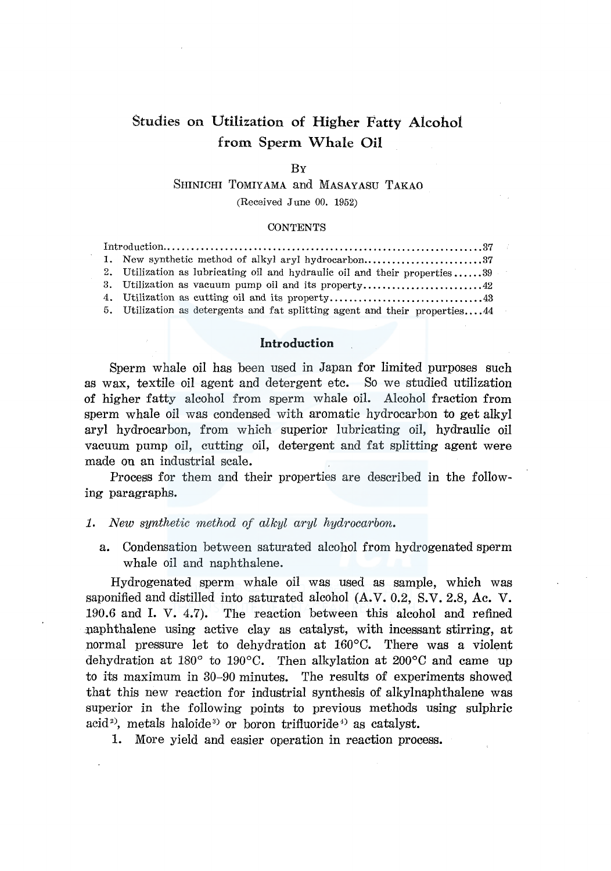# Studies on Utilization of Higher Fatty Alcohol from Sperm Whale Oil

## **B<sub>Y</sub>**

# SHINICHI TOMIYAMA and MASAYASU TAKAO

(Received June 00. 1952)

#### **CONTENTS**

| 1. New synthetic method of alkyl aryl hydrocarbon37                         |  |
|-----------------------------------------------------------------------------|--|
| 2. Utilization as lubricating oil and hydraulic oil and their properties39  |  |
| 3. Utilization as vacuum pump oil and its property42                        |  |
|                                                                             |  |
| 5. Utilization as detergents and fat splitting agent and their properties44 |  |

# **Introduction**

Sperm whale oil has been used in Japan for limited purposes such as wax, textile oil agent and detergent etc. So we studied utilization of higher fatty alcohol from sperm whale oil. Alcohol fraction from sperm whale oil was condensed with aromatic hydrocarbon to get alkyl aryl hydrocarbon, from which superior lubricating oil, hydraulic oil vacuum pump oil, cutting oil, detergent and fat splitting agent were made on an industrial scale.

Process for them and their properties are described in the following paragraphs.

#### *1. New synthetic method of alkyl aryl hydrocarbon.*

a. Condensation between saturated alcohol from hydrogenated sperm whale oil and naphthalene.

Hydrogenated sperm whale oil was used as sample, which was saponified and distilled into saturated alcohol (A.V. 0.2, S.V. 2.8, Ac. V. 190.6 and I. V. 4.7). The reaction between this alcohol and refined naphthalene using active clay as catalyst, with incessant stirring, at normal pressure let to dehydration at 160°C. There was a violent dehydration at 180° to 190°C. Then alkylation at 200°C and came up to its maximum in 30-90 minutes. The results of experiments showed that this new reaction for industrial synthesis of alkylnaphthalene was superior in the following points to previous methods using sulphric acid<sup>2</sup>), metals haloide<sup>3</sup> or boron trifluoride<sup>4</sup> as catalyst.

1. More yield and easier operation in reaction process.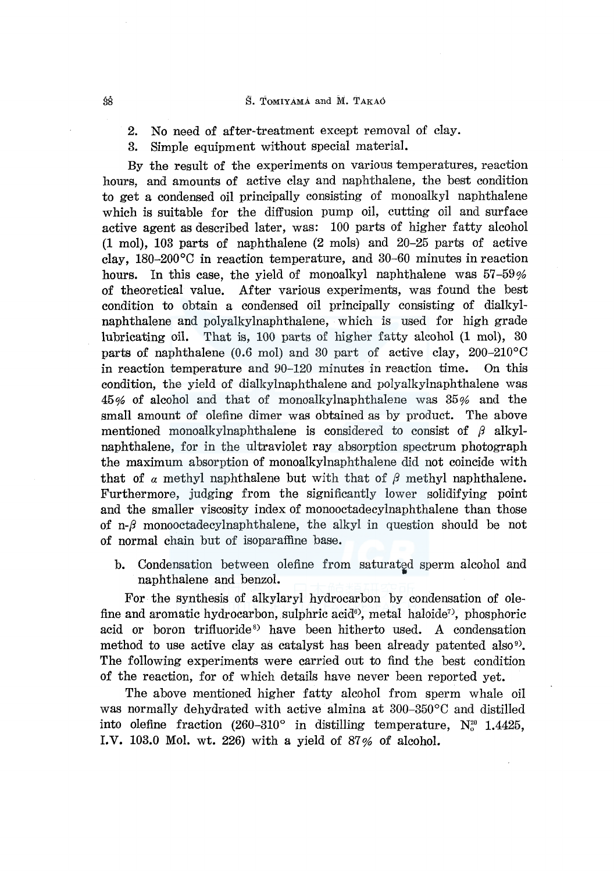## S. ToMIYAMA and M. TAKAO

- 2. No need of after-treatment except removal of clay.
- 3. Simple equipment without special material.

By the result of the experiments on various temperatures, reaction hours, and amounts of active clay and naphthalene, the best condition to get a condensed oil principally consisting of monoalkyl naphthalene which is suitable for the diffusion pump oil, cutting oil and surface active agent as described later, was: 100 parts of higher fatty alcohol (1 mol), 103 parts of naphthalene (2 mols) and 20-25 parts of active clay, 180-200°C in reaction temperature, and 30-60 minutes in reaction hours. In this case, the yield of monoalkyl naphthalene was 57-59% of theoretical value. After various experiments, was found the best condition to obtain a condensed oil principally consisting of dialkylnaphthalene and polyalkylnaphthalene, which is used for high grade lubricating oil. That is, 100 parts of higher fatty alcohol (1 mol), 30 parts of naphthalene (0.6 mol) and 30 part of active clay,  $200-210$ °C in reaction temperature and 90-120 minutes in reaction time. On this condition, the yield of dialkylnaphthalene and polyalkylnaphthalene was 45% of alcohol and that of monoalkylnaphthalene was 35% and the small amount of olefine dimer was obtained as by product. The above mentioned monoalkylnaphthalene is considered to consist of */3* alkylnaphthalene, for in the ultraviolet ray absorption spectrum photograph the maximum absorption of monoalkylnaphthalene did not coincide with that of  $\alpha$  methyl naphthalene but with that of  $\beta$  methyl naphthalene. Furthermore, judging from the significantly lower solidifying point and the smaller viscosity index of monooctadecylnaphthalene than those of *n-/3* monooctadecylnaphthalene, the alkyl in question should be not of normal chain but of isoparaffine base.

b. Condensation between olefine from saturated sperm alcohol and naphthalene and benzol.

For the synthesis of alkylaryl hydrocarbon by condensation of olefine and aromatic hydrocarbon, sulphric acid<sup>®</sup>, metal haloide<sup>7</sup>, phosphoric acid or boron trifluoride<sup>8</sup> have been hitherto used. A condensation method to use active clay as catalyst has been already patented also<sup>9</sup>. The following experiments were carried out to find the best condition of the reaction, for of which details have never been reported yet.

The above mentioned higher fatty alcohol from sperm whale oil was normally dehydrated with active almina at 300-350°C and distilled into olefine fraction  $(260-310^{\circ}$  in distilling temperature,  $N_c^{\alpha}$  1.4425, I.V. 103.0 Mol. wt. 226) with a yield of 87% of alcohol.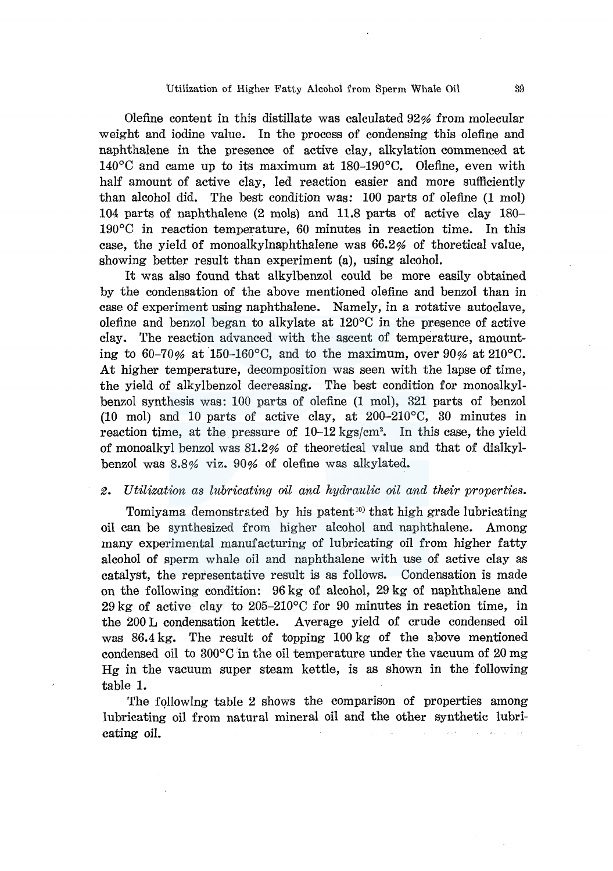Olefine content in this distillate was calculated 92% from molecular weight and iodine value. In the process of condensing this olefine and naphthalene in the presence of active clay, alkylation commenced at  $140^{\circ}$ C and came up to its maximum at 180-190 $^{\circ}$ C. Olefine, even with half amount of active clay, led reaction easier and more sufficiently than alcohol did. The best condition was: 100 parts of olefine (1 mol) 104 parts of naphthalene (2 mols) and 11.8 parts of active clay 180-  $190^{\circ}$ C in reaction temperature, 60 minutes in reaction time. In this case, the yield of monoalkylnaphthalene was 66.2% of thoretical value, showing better result than experiment (a), using alcohol.

It was also found that alkylbenzol could be more easily obtained by the condensation of the above mentioned olefine and benzol than in case of experiment using naphthalene. Namely, in a rotative autoclave, olefine and benzol began to alkylate at  $120^{\circ}$ C in the presence of active clay. The reaction advanced with the ascent of temperature, amounting to 60-70% at 150-160°C, and to the maximum, over 90% at 210°C. At higher temperature, decomposition was seen with the lapse of time, the yield of alkylbenzol decreasing. The best condition for monoalkylbenzol synthesis was: 100 parts of olefine (1 mol), 321 parts of benzol (10 mol) and 10 parts of active clay, at 200-210°C, 30 minutes in reaction time, at the pressure of 10-12 kgs/cm<sup>2</sup>. In this case, the yield of monoalkyl benzol was  $81.2\%$  of theoretical value and that of dialkylbenzol was 8.8% viz. 90% of olefine was alkylated.

## *2. Utilization as lubricating oil and hydraulic oil and their properties.*

Tomiyama demonstrated by his patent<sup>10</sup> that high grade lubricating oil can be synthesized from higher alcohol and naphthalene. Among many experimental manufacturing of lubricating oil from higher fatty alcohol of sperm whale oil and naphthalene with use of active clay as catalyst, the representative result is as follows. Condensation is made on the following condition: 96 kg of alcohol, 29 kg of naphthalene and 29 kg of active clay to  $205-210$ °C for 90 minutes in reaction time, in the 200 L condensation kettle. Average yield of crude condensed oil was 86.4 kg. The result of topping 100 kg of the above mentioned condensed oil to 300°C in the oil temperature under the vacuum of 20 mg Hg in the vacuum super steam kettle, is as shown in the fallowing table 1.

The followlng table 2 shows the comparison of properties among lubricating oil from natural mineral oil and the other synthetic lubricating oil.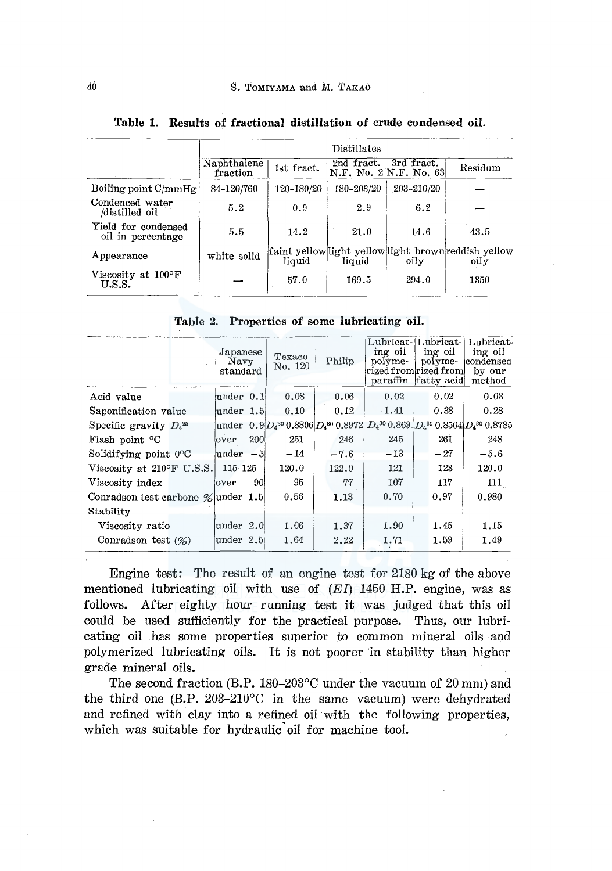|                                          | Distillates             |            |            |                                      |                                                              |  |
|------------------------------------------|-------------------------|------------|------------|--------------------------------------|--------------------------------------------------------------|--|
|                                          | Naphthalene<br>fraction | 1st fract. | 2nd fract. | 3rd fract.<br>N.F. No. 2 N.F. No. 63 | Residum                                                      |  |
| Boiling point $C/mm Hg$                  | 84-120/760              | 120-180/20 | 180-203/20 | 203-210/20                           |                                                              |  |
| Condenced water<br>/distilled oil        | 5.2                     | 0.9        | 2.9        | 6.2                                  |                                                              |  |
| Yield for condensed<br>oil in percentage | 5.5                     | 14.2       | 21.0       | 14.6                                 | 43.5                                                         |  |
| Appearance                               | white solid             | liquid     | liquid     | oily                                 | faint yellow light yellow light brown reddish yellow<br>oily |  |
| Viscosity at $100^{\circ}$ F<br>U.S.S.   |                         | 57.0       | 169.5      | 294.0                                | 1350                                                         |  |

Table 1. Results of fractional distillation of crude condensed oil.

|  |  |  |  | Table 2. Properties of some lubricating oil. |  |
|--|--|--|--|----------------------------------------------|--|
|--|--|--|--|----------------------------------------------|--|

|                                       | Japanese<br>Navy<br>standard |     | Texaco<br>No. 120 | Philip | Lubricat-<br>ing oil<br>-polyme<br>rized from rized from<br>paraffin fatty acid | Lubricat-<br>ing oil<br>$pol$ vme- | Lubricat-<br>ing oil<br>condensed<br>by our<br>method                                            |
|---------------------------------------|------------------------------|-----|-------------------|--------|---------------------------------------------------------------------------------|------------------------------------|--------------------------------------------------------------------------------------------------|
| Acid value                            | under $0.1$                  |     | 0.08              | 0.06   | 0.02                                                                            | 0.02                               | 0.03                                                                                             |
| Saponification value                  | $\mu$ nder 1.5               |     | 0.10              | 0.12   | 1.41                                                                            | 0.38                               | 0.28                                                                                             |
| Specific gravity $D_4^{25}$           |                              |     |                   |        |                                                                                 |                                    | under $[0.9]D_4{}^{30}0.8806]D_4{}^{30}0.8972]D_4{}^{30}0.869]D_4{}^{30}0.8504]D_4{}^{30}0.8785$ |
| Flash point <sup>o</sup> C            | over                         | 200 | 251               | 246    | 245                                                                             | 261                                | 248                                                                                              |
| Solidifying point $0^{\circ}$ C       | $under -5$                   |     | $-14$             | $-7.6$ | $-13$                                                                           | $-27$                              | $-5.6$                                                                                           |
| Viscosity at $210^{\circ}$ F U.S.S.   | 115–125                      |     | 120.0             | 122.0  | 121                                                                             | 123                                | 120.0                                                                                            |
| Viscosity index                       | over                         | 90! | 95                | 77     | 107                                                                             | 117                                | 111                                                                                              |
| Conradson test carbone $\%$ under 1.5 |                              |     | 0.56              | 1.13   | 0.70                                                                            | 0.97                               | 0.980                                                                                            |
| Stability                             |                              |     |                   |        |                                                                                 |                                    |                                                                                                  |
| Viscosity ratio                       | $\mu$ nder 2.0               |     | 1.06              | 1.37   | 1.90                                                                            | 1.45                               | 1.15                                                                                             |
| Conradson test $(\%)$                 | under 2.5                    |     | 1.64              | 2.22   | 1.71                                                                            | 1.59                               | 1.49                                                                                             |

Engine test: The result of an engine test for 2180 kg of the above mentioned lubricating oil with use of  $(EI)$  1450 H.P. engine, was as follows. After eighty hour running test it was judged that this oil could be used sufficiently for the practical purpose. Thus, our lubricating oil has some properties superior to common mineral oils and polymerized lubricating oils. It is not poorer in stability than higher grade mineral oils.

The second fraction (B.P. 180-203°C under the vacuum of 20 mm) and the third one (B.P. 203-210°C in the same vacuum) were dehydrated and refined with clay into a refined oil with the following properties, which was suitable for hydraulic oil for machine tool.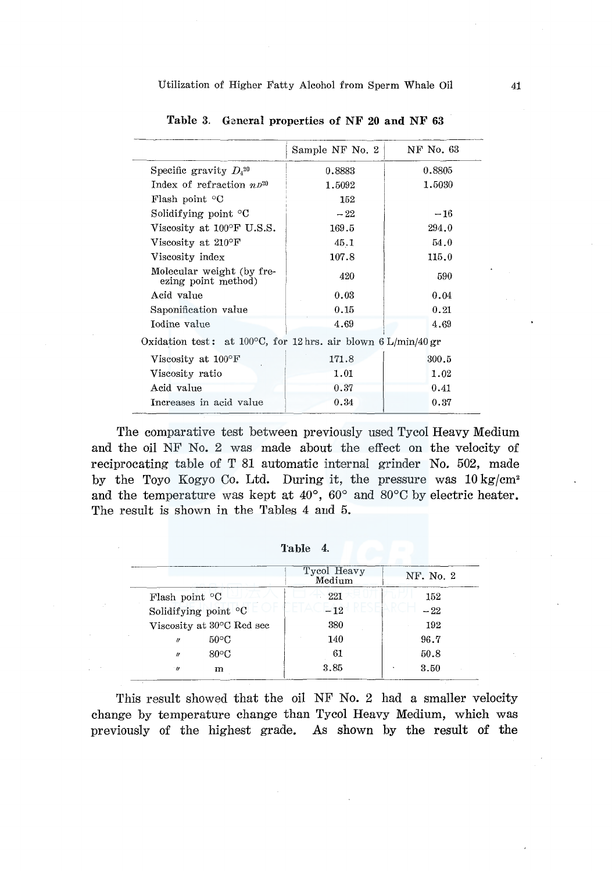|                                                                          | Sample NF No. 2 | NF No. 63 |
|--------------------------------------------------------------------------|-----------------|-----------|
| Specific gravity $D_4^{20}$                                              | 0.8883          | 0.8805    |
| Index of refraction $nD^{20}$                                            | 1.5092          | 1.5030    |
| Flash point $\mathrm{C}$                                                 | 152             |           |
| Solidifying point $\mathrm{C}$                                           | $-22$           | $-16$     |
| Viscosity at $100^{\circ}$ F U.S.S.                                      | 169.5           | 294.0     |
| Viscosity at 210°F                                                       | 45.1            | 54.0      |
| Viscosity index                                                          | 107.8           | 115.0     |
| Molecular weight (by fre-<br>ezing point method)                         | 420             | 590       |
| Acid value                                                               | 0.03            | 0.04      |
| Saponification value                                                     | 0.15            | 0.21      |
| Iodine value                                                             | 4.69            | 4.69      |
| Oxidation test: at 100 $^{\circ}$ C, for 12 hrs. air blown 6 L/min/40 gr |                 |           |
| Viscosity at $100^{\circ}$ F                                             | 171.8           | 300.5     |
| Viscosity ratio                                                          | 1.01            | 1.02      |
| Acid value                                                               | 0.37            | 0.41      |
| Increases in acid value                                                  | 0.34            | 0.37      |

Table 3. General properties of NF **20 and** NF 63

The comparative test between previously used Tycol Heavy Medium and the oil NF No. 2 was made about the effect on the velocity of reciprocating table of T 81 automatic internal grinder No. 502, made by the Toyo Kogyo Co. Ltd. During it, the pressure was  $10 \text{ kg/cm}^2$ and the temperature was kept at 40°, 60° and 80°C by electric heater. The result is shown in the Tables 4 and 5.

| Tycol Heavy<br>Medium | NF. No. 2 |
|-----------------------|-----------|
| 221                   | 152       |
| $-12$                 | $-22$     |
| 380                   | 192       |
| 140                   | 96.7      |
| 61                    | 50.8      |
| 3.85                  | 3.50      |
|                       |           |

Table 4.

This result showed that the oil NF No. 2 had a smaller velocity change by temperature change than Tycol Heavy Medium, which was previously of the highest grade. As shown by the result of the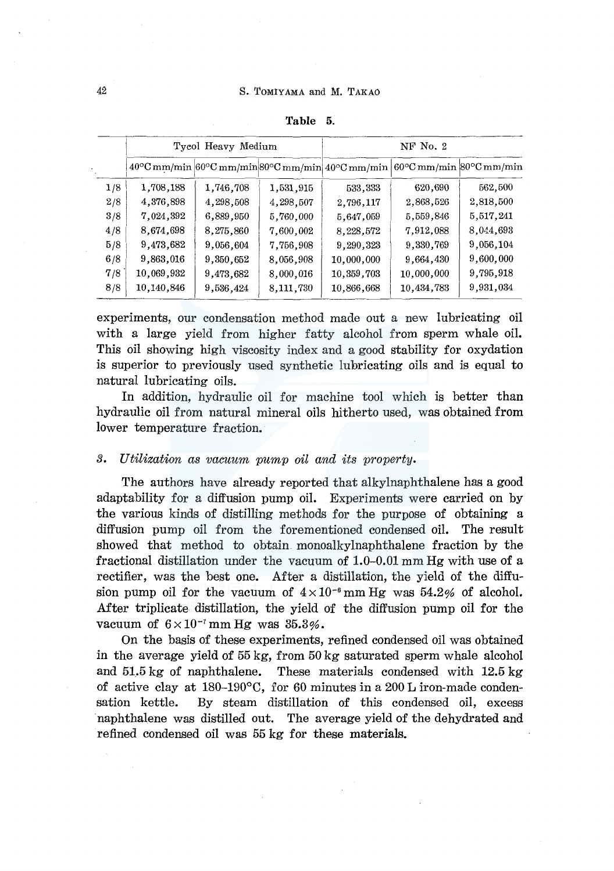|     |            | Tycol Heavy Medium |           | $NF$ No. $2$                                                                                                                        |            |           |  |
|-----|------------|--------------------|-----------|-------------------------------------------------------------------------------------------------------------------------------------|------------|-----------|--|
|     |            |                    |           | $40^{\circ}$ C mm/min $60^{\circ}$ C mm/min $80^{\circ}$ C mm/min $40^{\circ}$ C mm/min $60^{\circ}$ C mm/min $80^{\circ}$ C mm/min |            |           |  |
| 1/8 | 1,708,188  | 1,746,708          | 1,531,915 | 533,333                                                                                                                             | 620,690    | 562,500   |  |
| 2/8 | 4,376,898  | 4,298,508          | 4,298,507 | 2,796,117                                                                                                                           | 2,868,526  | 2,818,500 |  |
| 3/8 | 7,024,392  | 6,889,950          | 5,760,000 | 5.647,059                                                                                                                           | 5,559,846  | 5,517,241 |  |
| 4/8 | 8,674,698  | 8,275,860          | 7,600,002 | 8,228,572                                                                                                                           | 7,912,088  | 8,044,693 |  |
| 5/8 | 9,473,682  | 9,056,604          | 7,756,908 | 9,290,323                                                                                                                           | 9,330,769  | 9,056,104 |  |
| 6/8 | 9,863,016  | 9,350,652          | 8,056,908 | 10,000,000                                                                                                                          | 9,664,430  | 9,600,000 |  |
| 7/8 | 10,069,932 | 9,473,682          | 8,000,016 | 10,359,703                                                                                                                          | 10,000,000 | 9,795,918 |  |
| 8/8 | 10,140,846 | 9,536,424          | 8,111,730 | 10,866,668                                                                                                                          | 10,434,783 | 9,931,034 |  |

Table 5.

experiments, our condensation method made out a new lubricating oil with a large yield from higher fatty alcohol from sperm whale oil. This oil showing high viscosity index and a good stability for oxydation is superior to previously used synthetic lubricating oils and is equal to natural lubricating oils.

In addition, hydraulic oil for machine tool which is better than hydraulic oil from natural mineral oils hitherto used, was obtained from lower temperature fraction.

## *3. Utilization as vacuum pump oil and its property.*

The authors have already reported that alkylnaphthalene has a good adaptability for a diffusion pump oil. Experiments were carried on by the various kinds of distilling methods for the purpose of obtaining a diffusion pump oil from the forementioned condensed oil. The result showed that method to obtain monoalkylnaphthalene fraction by the fractional distillation under the vacuum of 1.0-0.01 mm Hg with use of a rectifier, was the best one. After a distillation, the yield of the diffusion pump oil for the vacuum of  $4 \times 10^{-6}$  mm Hg was  $54.2\%$  of alcohol. After triplicate distillation, the yield of the diffusion pump oil for the vacuum of  $6 \times 10^{-7}$  mm Hg was  $35.3\%$ .

On the basis of these experiments, refined condensed oil was obtained in the average yield of 55 kg, from 50 kg saturated sperm whale alcohol and 51.5 kg of naphthalene. These materials condensed with 12.5 kg of active clay at 180-190°C, for 60 minutes in a 200 L iron-made condensation kettle. By steam distillation of this condensed oil, excess naphthalene was distilled out. The average yield of the dehydrated and refined condensed oil was 55 kg for these materials.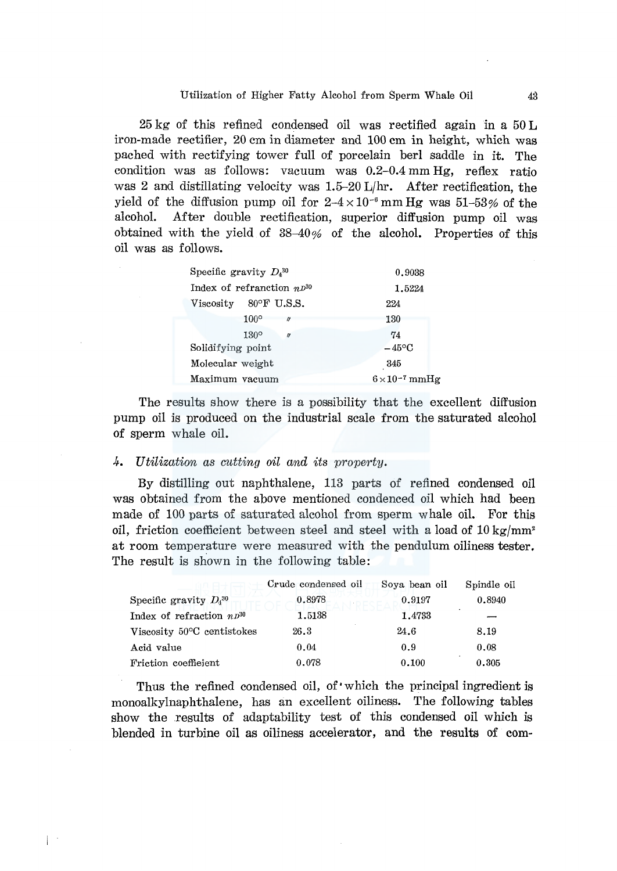25 kg of this refined condensed oil was rectified again in a 50 L iron-made rectifier, 20 cm in diameter and 100 cm in height, which was pached with rectifying tower full of porcelain berl saddle in it. The condition was as follows: vacuum was 0.2-0.4 mm Hg, reflex ratio was 2 and distillating velocity was  $1.5{\text -}20$  L/hr. After rectification, the yield of the diffusion pump oil for  $2-4\times10^{-6}$  mm Hg was 51-53% of the alcohol. After double rectification, superior diffusion pump oil was obtained with the yield of 38-40% of the alcohol. Properties of this oil was as follows.

| Specific gravity $D_4^{30}$     | 0.9038                |
|---------------------------------|-----------------------|
| Index of refranction $n^{30}$   | 1.5224                |
| Viscosity $80^{\circ}$ F U.S.S. | 224                   |
| $100^\circ$<br>11               | 130                   |
| 130°<br>IJ                      | 74                    |
| Solidifying point               | $-45$ °C              |
| Molecular weight                | 345                   |
| Maximum vacuum                  | $6\times10^{-7}$ mmHg |

The results show there is a possibility that the excellent diffusion pump oil is produced on the industrial scale from the saturated alcohol of sperm whale oil.

# 4. Utilization as cutting oil and its property.

 $\mathbb{R}^n$ 

By distilling out naphthalene, 113 parts of refined condensed oil was obtained from the above mentioned condenced oil which had been made of 100 parts of saturated alcohol from sperm whale oil. For this oil, friction coefficient between steel and steel with a load of  $10 \text{ kg/mm}^2$ at room temperature were measured with the pendulum oiliness tester. The result is shown in the following table:

|                               | Crude condensed oil | Soya bean oil | Spindle oil |
|-------------------------------|---------------------|---------------|-------------|
| Specific gravity $D_4^{30}$   | 0.8978              | 0.9197        | 0.8940      |
| Index of refraction $np^{30}$ | 1.5138              | 1.4733        |             |
| Viscosity 50°C centistokes    | 26.3                | 24.6          | 8.19        |
| Acid value                    | 0.04                | 0.9           | 0.08        |
| Friction coefficient          | 0.078               | 0.100         | 0.305       |

Thus the refined condensed oil, of which the principal ingredient is monoalkylnaphthalene, has an excellent oiliness. The fallowing tables show the results of adaptability test of this condensed oil which is blended in turbine oil as oiliness accelerator, and the results of corn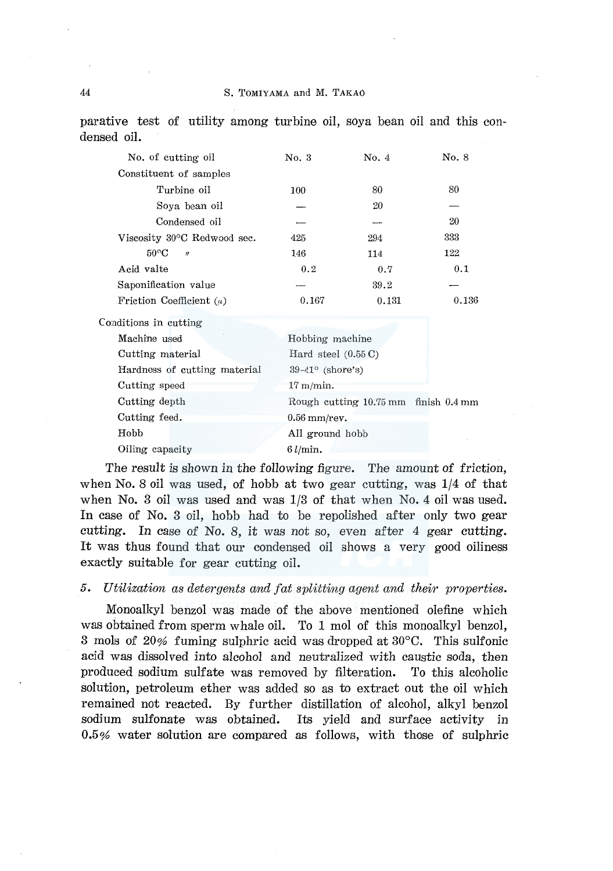parative test of utility among turbine oil, soya bean oil and this condensed oil.

| No. 3               | No. 4 | No. 8                                                                                                                                                        |
|---------------------|-------|--------------------------------------------------------------------------------------------------------------------------------------------------------------|
|                     |       |                                                                                                                                                              |
| 100                 | 80    | 80                                                                                                                                                           |
|                     | 20    |                                                                                                                                                              |
|                     |       | 20                                                                                                                                                           |
| 425                 | 294   | 333                                                                                                                                                          |
| 146                 | 114   | 122                                                                                                                                                          |
| 0.2                 | 0.7   | 0.1                                                                                                                                                          |
|                     | 39.2  |                                                                                                                                                              |
| 0.167               | 0.131 | 0.136                                                                                                                                                        |
|                     |       |                                                                                                                                                              |
|                     |       |                                                                                                                                                              |
|                     |       |                                                                                                                                                              |
|                     |       |                                                                                                                                                              |
| $17 \text{ m/min}.$ |       |                                                                                                                                                              |
|                     |       |                                                                                                                                                              |
|                     |       |                                                                                                                                                              |
|                     |       |                                                                                                                                                              |
| $6$ $l/min.$        |       |                                                                                                                                                              |
|                     |       | Hobbing machine<br>Hard steel $(0.55 \, \text{C})$<br>$39-41^{\circ}$ (shore's)<br>Rough cutting 10.75 mm finish 0.4 mm<br>$0.56$ mm/rev.<br>All ground hobb |

The result is shown in the following figure. The amount of friction, when No. 8 oil was used, of hobb at two gear cutting, was  $1/4$  of that when No. 3 oil was used and was 1/3 of that when No. 4 oil was used. In case of No. 3 oil, hobb had to be repolished after only two gear cutting. In case of No. 8, it was not so, even after 4 gear cutting. It was thus found that our condensed oil shows a very good oiliness exactly suitable for gear cutting oil.

## *5. Utilization as detergents and fat splitting agent and their properties.*

Monoalkyl benzol was made of the above mentioned olefine which was obtained from sperm whale oil. To 1 mol of this monoalkyl benzol, 3 mols of 20% fuming sulphric acid was dropped at 30°C. This sulfonic acid was dissolved into alcohol and neutralized with caustic soda, then produced sodium sulfate was removed by filteration. To this alcoholic solution, petroleum ether was added so as to extract out the oil which remained not reacted. By further distillation of alcohol, alkyl benzol sodium sulfonate was obtained. Its yield and surface activity in 0.5% water solution are compared as follows, with those of sulphric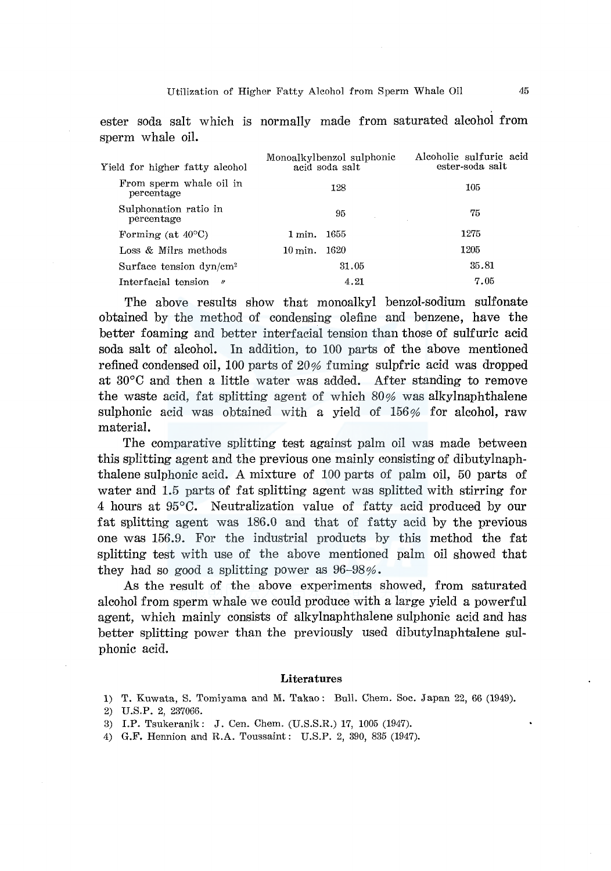ester soda salt which is normally made from saturated alcohol from sperm whale oil.

| Yield for higher fatty alcohol          | Monoalkylbenzol sulphonic<br>acid soda salt | Alcoholic sulfuric acid<br>ester-soda salt |
|-----------------------------------------|---------------------------------------------|--------------------------------------------|
| From sperm whale oil in<br>percentage   | 128                                         | 105                                        |
| Sulphonation ratio in<br>percentage     | 95<br>the process of the con-               | 75                                         |
| Forming (at $40^{\circ}$ C)             | 1655<br>1 min.                              | 1275                                       |
| Loss & Milrs methods                    | -1620<br>$10 \,\mathrm{min}$ .              | 1205                                       |
| Surface tension dyn/cm <sup>2</sup>     | 31.05                                       | 35.81                                      |
| Interfacial tension<br>$\boldsymbol{r}$ | 4.21                                        | 7.05                                       |

The above results show that monoalkyl benzol-sodium sulfonate obtained by the method of condensing olefine and benzene, have the better foaming and better interfacial tension than those of sulfuric acid soda salt of alcohol. In addition, to 100 parts of the above mentioned refined condensed oil, 100 parts of 20% fuming sulpfric acid was dropped at 30°C and then a little water was added. After standing to remove the waste acid, fat splitting agent of which  $80%$  was alkylnaphthalene sulphonic acid was obtained with a yield of 156% for alcohol, raw material.

The comparative splitting test against palm oil was made between this splitting agent and the previous one mainly consisting of dibutylnaphthalene sulphonic acid. A mixture of 100 parts of palm oil, 50 parts of water and 1.5 parts of fat splitting agent was splitted with stirring for 4 hours at 95°C. Neutralization value of fatty acid produced by our fat splitting agent was 186.0 and that of fatty acid by the previous one was 156.9. For the industrial products by this method the fat splitting test with use of the above mentioned palm oil showed that they had so good a splitting power as 96-98%.

As the result of the above experiments showed, from saturated alcohol from sperm whale we could produce with a large yield a powerful agent, which mainly consists of alkylnaphthalene sulphonic acid and has better splitting power than the previously used dibutylnaphtalene sulphonic acid.

#### Literatures

- 1) T. Kuwata, S. Tomiyama and M. Takao: Bull. Chem. Soc. Japan 22, 66 (1949).
- 2) U.S.P. 2, 237066.
- 3) I.P. Tsukeranik: J. Cen. Chem. (U.S.S.R.) 17, 1005 (1947).
- 4) G.F. Hennion and R.A. Toussaint: U.S.P. 2, 390, 835 (1947).